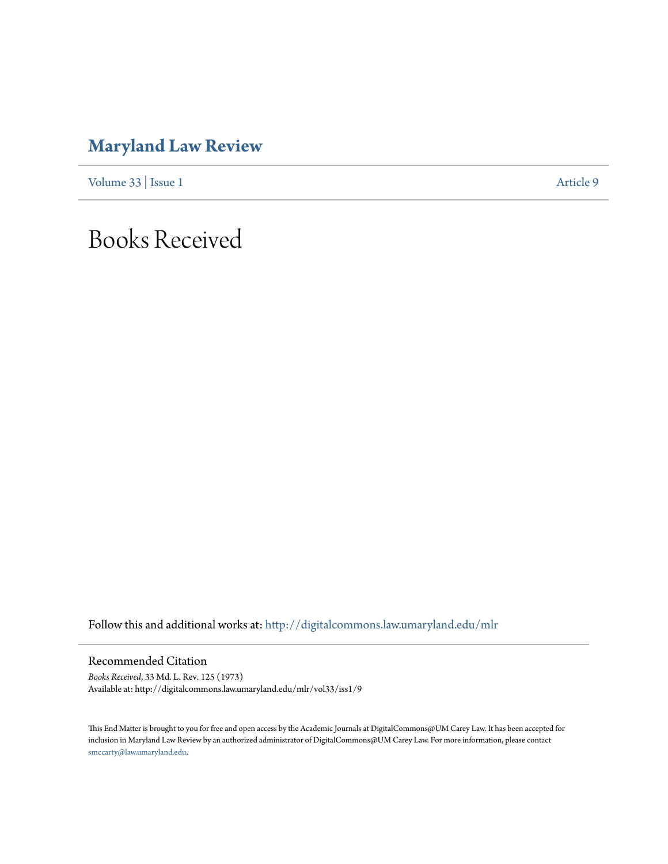## **[Maryland Law Review](http://digitalcommons.law.umaryland.edu/mlr?utm_source=digitalcommons.law.umaryland.edu%2Fmlr%2Fvol33%2Fiss1%2F9&utm_medium=PDF&utm_campaign=PDFCoverPages)**

[Volume 33](http://digitalcommons.law.umaryland.edu/mlr/vol33?utm_source=digitalcommons.law.umaryland.edu%2Fmlr%2Fvol33%2Fiss1%2F9&utm_medium=PDF&utm_campaign=PDFCoverPages) | [Issue 1](http://digitalcommons.law.umaryland.edu/mlr/vol33/iss1?utm_source=digitalcommons.law.umaryland.edu%2Fmlr%2Fvol33%2Fiss1%2F9&utm_medium=PDF&utm_campaign=PDFCoverPages) [Article 9](http://digitalcommons.law.umaryland.edu/mlr/vol33/iss1/9?utm_source=digitalcommons.law.umaryland.edu%2Fmlr%2Fvol33%2Fiss1%2F9&utm_medium=PDF&utm_campaign=PDFCoverPages)

## Books Received

Follow this and additional works at: [http://digitalcommons.law.umaryland.edu/mlr](http://digitalcommons.law.umaryland.edu/mlr?utm_source=digitalcommons.law.umaryland.edu%2Fmlr%2Fvol33%2Fiss1%2F9&utm_medium=PDF&utm_campaign=PDFCoverPages)

Recommended Citation

*Books Received*, 33 Md. L. Rev. 125 (1973) Available at: http://digitalcommons.law.umaryland.edu/mlr/vol33/iss1/9

This End Matter is brought to you for free and open access by the Academic Journals at DigitalCommons@UM Carey Law. It has been accepted for inclusion in Maryland Law Review by an authorized administrator of DigitalCommons@UM Carey Law. For more information, please contact [smccarty@law.umaryland.edu.](mailto:smccarty@law.umaryland.edu)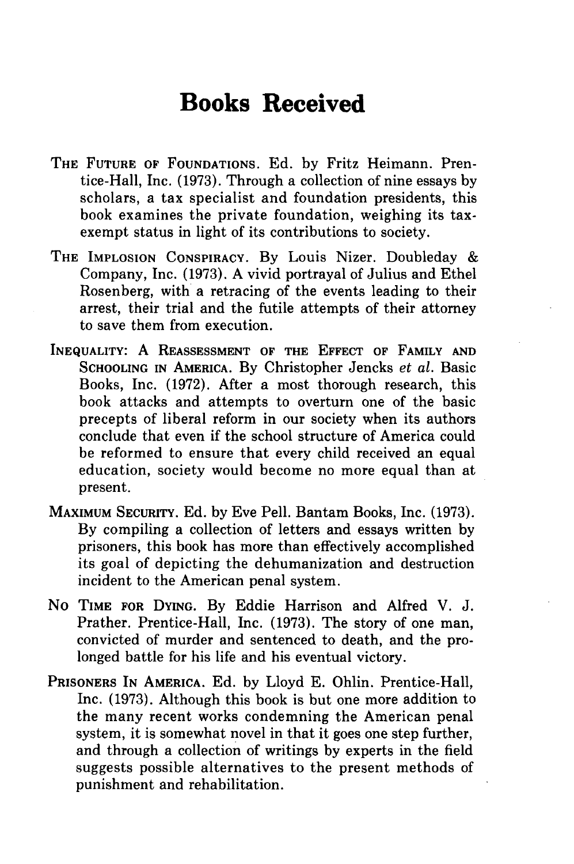## **Books Received**

- THE **FUTURE** OF **FOUNDATIONS.** Ed. by Fritz Heimann. Prentice-Hall, Inc. (1973). Through a collection of nine essays by scholars, a tax specialist and foundation presidents, this book examines the private foundation, weighing its taxexempt status in light of its contributions to society.
- THE **IMPLOSION** CONSPIRACY. By Louis Nizer. Doubleday & Company, Inc. (1973). A vivid portrayal of Julius and Ethel Rosenberg, with a retracing of the events leading to their arrest, their trial and the futile attempts of their attorney to save them from execution.
- **INEQUALITY:** A **REASSESSMENT OF THE EFFECT OF FAMILY AND SCHOOLING IN** AMERICA. By Christopher Jencks et al. Basic Books, Inc. (1972). After a most thorough research, this book attacks and attempts to overturn one of the basic precepts of liberal reform in our society when its authors conclude that even if the school structure of America could be reformed to ensure that every child received an equal education, society would become no more equal than at present.
- MAXIMUM SECURITY. Ed. by Eve Pell. Bantam Books, Inc. (1973). By compiling a collection of letters and essays written by prisoners, this book has more than effectively accomplished its goal of depicting the dehumanization and destruction incident to the American penal system.
- No TIME FOR **DYING.** By Eddie Harrison and Alfred V. J. Prather. Prentice-Hall, Inc. (1973). The story of one man, convicted of murder and sentenced to death, and the prolonged battle for his life and his eventual victory.
- PRISONERS IN AMERICA. Ed. by Lloyd E. Ohlin. Prentice-Hall, Inc. (1973). Although this book is but one more addition to the many recent works condemning the American penal system, it is somewhat novel in that it goes one step further, and through a collection of writings by experts in the field suggests possible alternatives to the present methods of punishment and rehabilitation.